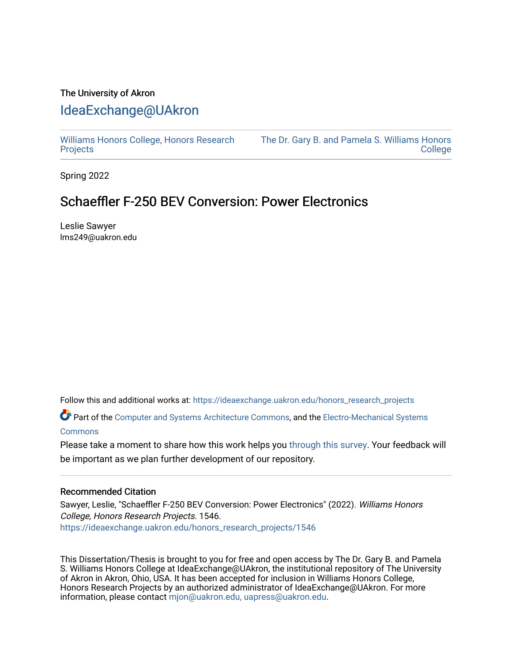## The University of Akron [IdeaExchange@UAkron](https://ideaexchange.uakron.edu/)

[Williams Honors College, Honors Research](https://ideaexchange.uakron.edu/honors_research_projects)  **[Projects](https://ideaexchange.uakron.edu/honors_research_projects)** 

[The Dr. Gary B. and Pamela S. Williams Honors](https://ideaexchange.uakron.edu/honorscollege_ideas)  [College](https://ideaexchange.uakron.edu/honorscollege_ideas) 

Spring 2022

# Schaeffler F-250 BEV Conversion: Power Electronics

Leslie Sawyer lms249@uakron.edu

Follow this and additional works at: [https://ideaexchange.uakron.edu/honors\\_research\\_projects](https://ideaexchange.uakron.edu/honors_research_projects?utm_source=ideaexchange.uakron.edu%2Fhonors_research_projects%2F1546&utm_medium=PDF&utm_campaign=PDFCoverPages) 

Part of the [Computer and Systems Architecture Commons](https://network.bepress.com/hgg/discipline/259?utm_source=ideaexchange.uakron.edu%2Fhonors_research_projects%2F1546&utm_medium=PDF&utm_campaign=PDFCoverPages), and the Electro-Mechanical Systems [Commons](https://network.bepress.com/hgg/discipline/298?utm_source=ideaexchange.uakron.edu%2Fhonors_research_projects%2F1546&utm_medium=PDF&utm_campaign=PDFCoverPages)

Please take a moment to share how this work helps you [through this survey](http://survey.az1.qualtrics.com/SE/?SID=SV_eEVH54oiCbOw05f&URL=https://ideaexchange.uakron.edu/honors_research_projects/1546). Your feedback will be important as we plan further development of our repository.

### Recommended Citation

Sawyer, Leslie, "Schaeffler F-250 BEV Conversion: Power Electronics" (2022). Williams Honors College, Honors Research Projects. 1546. [https://ideaexchange.uakron.edu/honors\\_research\\_projects/1546](https://ideaexchange.uakron.edu/honors_research_projects/1546?utm_source=ideaexchange.uakron.edu%2Fhonors_research_projects%2F1546&utm_medium=PDF&utm_campaign=PDFCoverPages) 

This Dissertation/Thesis is brought to you for free and open access by The Dr. Gary B. and Pamela S. Williams Honors College at IdeaExchange@UAkron, the institutional repository of The University of Akron in Akron, Ohio, USA. It has been accepted for inclusion in Williams Honors College, Honors Research Projects by an authorized administrator of IdeaExchange@UAkron. For more information, please contact [mjon@uakron.edu, uapress@uakron.edu.](mailto:mjon@uakron.edu,%20uapress@uakron.edu)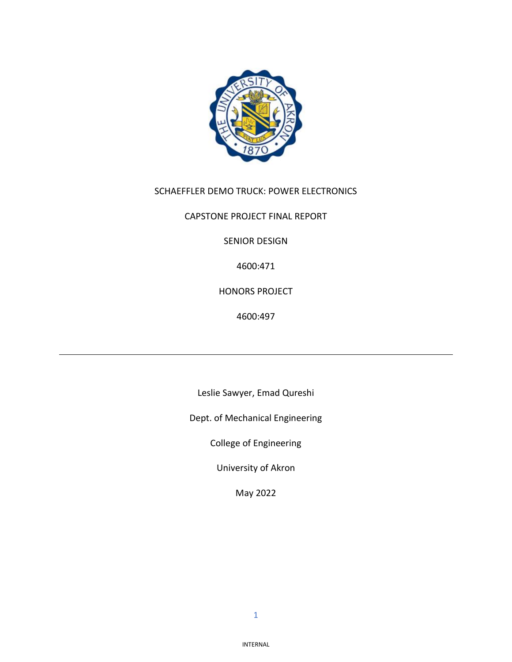

## SCHAEFFLER DEMO TRUCK: POWER ELECTRONICS

CAPSTONE PROJECT FINAL REPORT

SENIOR DESIGN

4600:471

HONORS PROJECT

4600:497

Leslie Sawyer, Emad Qureshi

Dept. of Mechanical Engineering

College of Engineering

University of Akron

May 2022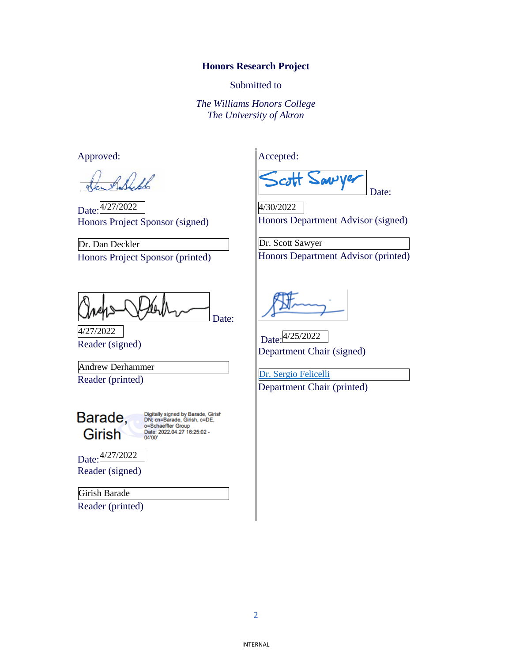### **Honors Research Project**

Submitted to

*The Williams Honors College The University of Akron*

Approved:

Alfl

Date: 4/27/2022 Honors Project Sponsor (signed)

Honors Project Sponsor (printed) Dr. Dan Deckler

Date:

Reader (signed) 4/27/2022

Reader (printed) Andrew Derhammer

Barade, Girish

Digitally signed by Barade, Girish<br>DN: cn=Barade, Girish, c=DE, o=Schaeffler Group Date: 2022.04.27 16:25:02 -<br>04'00'

Date: 4/27/2022 Reader (signed)

Girish Barade

Reader (printed)

Accepted:

**av** V Date:

Honors Department Advisor (signed) 4/30/2022

Honors Department Advisor (printed) Dr. Scott Sawyer

Date: 4/25/2022 Department Chair (signed)

Department Chair (printed) [Dr. Sergio Felicelli](https://www.uakron.edu/engineering/me/people/profile.dot?u=sfelicelli)